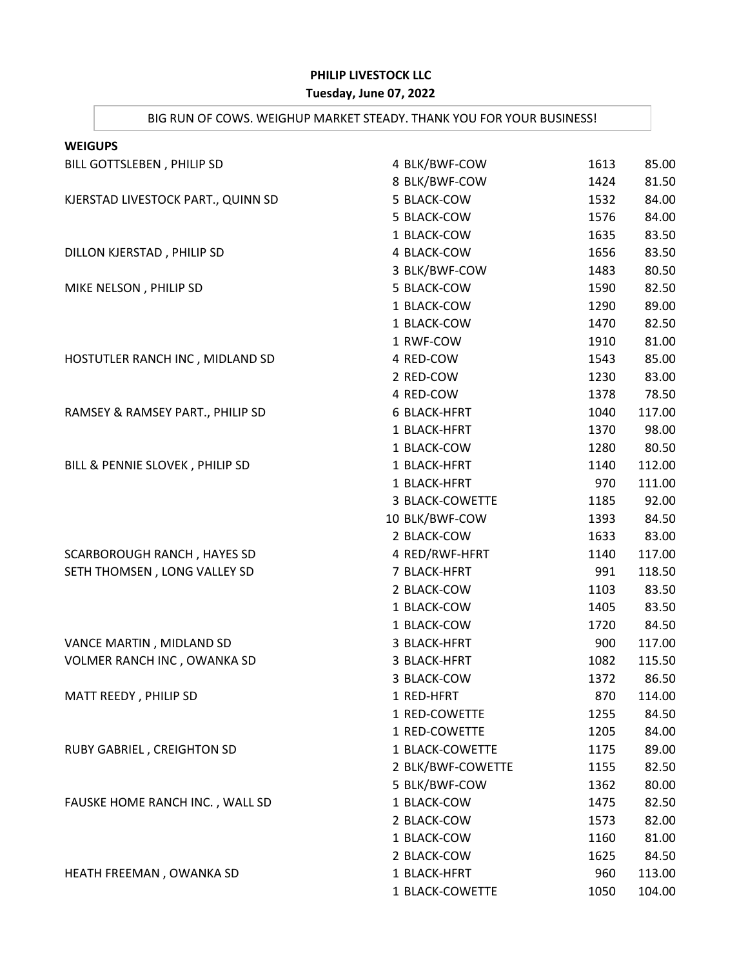## **PHILIP LIVESTOCK LLC**

## **Tuesday, June 07, 2022**

## BIG RUN OF COWS. WEIGHUP MARKET STEADY. THANK YOU FOR YOUR BUSINESS!

| <b>WEIGUPS</b>                     |                     |      |        |
|------------------------------------|---------------------|------|--------|
| BILL GOTTSLEBEN, PHILIP SD         | 4 BLK/BWF-COW       | 1613 | 85.00  |
|                                    | 8 BLK/BWF-COW       | 1424 | 81.50  |
| KJERSTAD LIVESTOCK PART., QUINN SD | 5 BLACK-COW         | 1532 | 84.00  |
|                                    | 5 BLACK-COW         | 1576 | 84.00  |
|                                    | 1 BLACK-COW         | 1635 | 83.50  |
| DILLON KJERSTAD, PHILIP SD         | 4 BLACK-COW         | 1656 | 83.50  |
|                                    | 3 BLK/BWF-COW       | 1483 | 80.50  |
| MIKE NELSON, PHILIP SD             | 5 BLACK-COW         | 1590 | 82.50  |
|                                    | 1 BLACK-COW         | 1290 | 89.00  |
|                                    | 1 BLACK-COW         | 1470 | 82.50  |
|                                    | 1 RWF-COW           | 1910 | 81.00  |
| HOSTUTLER RANCH INC, MIDLAND SD    | 4 RED-COW           | 1543 | 85.00  |
|                                    | 2 RED-COW           | 1230 | 83.00  |
|                                    | 4 RED-COW           | 1378 | 78.50  |
| RAMSEY & RAMSEY PART., PHILIP SD   | <b>6 BLACK-HFRT</b> | 1040 | 117.00 |
|                                    | 1 BLACK-HFRT        | 1370 | 98.00  |
|                                    | 1 BLACK-COW         | 1280 | 80.50  |
| BILL & PENNIE SLOVEK, PHILIP SD    | 1 BLACK-HFRT        | 1140 | 112.00 |
|                                    | 1 BLACK-HFRT        | 970  | 111.00 |
|                                    | 3 BLACK-COWETTE     | 1185 | 92.00  |
|                                    | 10 BLK/BWF-COW      | 1393 | 84.50  |
|                                    | 2 BLACK-COW         | 1633 | 83.00  |
| SCARBOROUGH RANCH, HAYES SD        | 4 RED/RWF-HFRT      | 1140 | 117.00 |
| SETH THOMSEN, LONG VALLEY SD       | 7 BLACK-HFRT        | 991  | 118.50 |
|                                    | 2 BLACK-COW         | 1103 | 83.50  |
|                                    | 1 BLACK-COW         | 1405 | 83.50  |
|                                    | 1 BLACK-COW         | 1720 | 84.50  |
| VANCE MARTIN, MIDLAND SD           | 3 BLACK-HFRT        | 900  | 117.00 |
| VOLMER RANCH INC, OWANKA SD        | 3 BLACK-HFRT        | 1082 | 115.50 |
|                                    | 3 BLACK-COW         | 1372 | 86.50  |
| MATT REEDY, PHILIP SD              | 1 RED-HFRT          | 870  | 114.00 |
|                                    | 1 RED-COWETTE       | 1255 | 84.50  |
|                                    | 1 RED-COWETTE       | 1205 | 84.00  |
| RUBY GABRIEL, CREIGHTON SD         | 1 BLACK-COWETTE     | 1175 | 89.00  |
|                                    | 2 BLK/BWF-COWETTE   | 1155 | 82.50  |
|                                    | 5 BLK/BWF-COW       | 1362 | 80.00  |
| FAUSKE HOME RANCH INC., WALL SD    | 1 BLACK-COW         | 1475 | 82.50  |
|                                    | 2 BLACK-COW         | 1573 | 82.00  |
|                                    | 1 BLACK-COW         | 1160 | 81.00  |
|                                    | 2 BLACK-COW         | 1625 | 84.50  |
| HEATH FREEMAN, OWANKA SD           | 1 BLACK-HFRT        | 960  | 113.00 |
|                                    | 1 BLACK-COWETTE     | 1050 | 104.00 |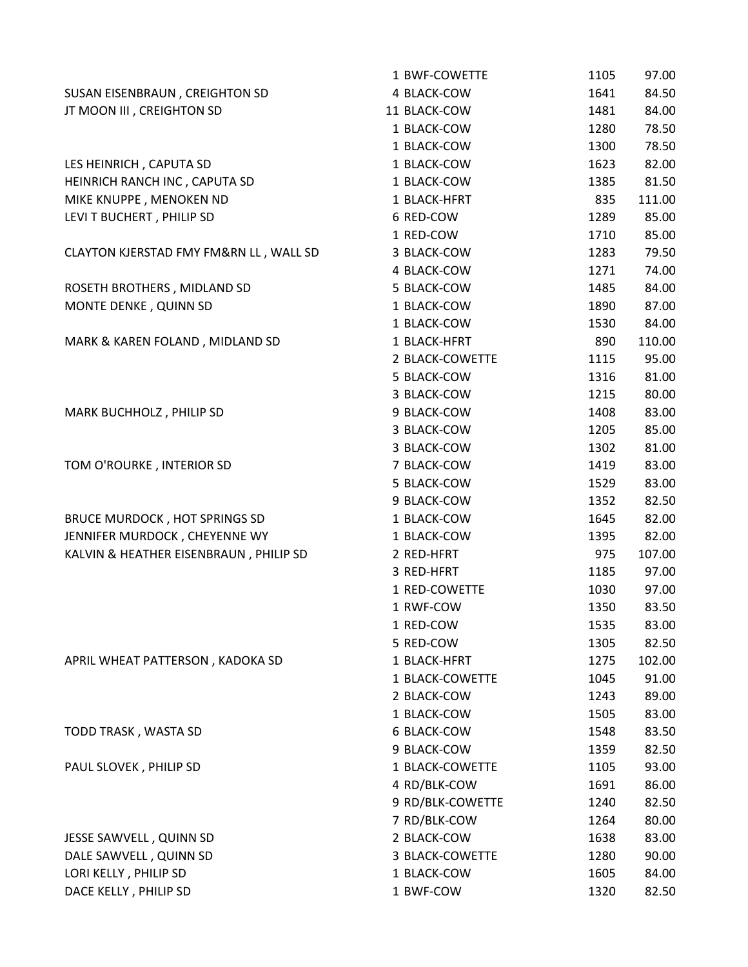|                                        | 1 BWF-COWETTE    | 1105 | 97.00  |
|----------------------------------------|------------------|------|--------|
| SUSAN EISENBRAUN, CREIGHTON SD         | 4 BLACK-COW      | 1641 | 84.50  |
| JT MOON III, CREIGHTON SD              | 11 BLACK-COW     | 1481 | 84.00  |
|                                        | 1 BLACK-COW      | 1280 | 78.50  |
|                                        | 1 BLACK-COW      | 1300 | 78.50  |
| LES HEINRICH, CAPUTA SD                | 1 BLACK-COW      | 1623 | 82.00  |
| HEINRICH RANCH INC, CAPUTA SD          | 1 BLACK-COW      | 1385 | 81.50  |
| MIKE KNUPPE, MENOKEN ND                | 1 BLACK-HFRT     | 835  | 111.00 |
| LEVI T BUCHERT, PHILIP SD              | 6 RED-COW        | 1289 | 85.00  |
|                                        | 1 RED-COW        | 1710 | 85.00  |
| CLAYTON KJERSTAD FMY FM&RN LL, WALL SD | 3 BLACK-COW      | 1283 | 79.50  |
|                                        | 4 BLACK-COW      | 1271 | 74.00  |
| ROSETH BROTHERS, MIDLAND SD            | 5 BLACK-COW      | 1485 | 84.00  |
| MONTE DENKE, QUINN SD                  | 1 BLACK-COW      | 1890 | 87.00  |
|                                        | 1 BLACK-COW      | 1530 | 84.00  |
| MARK & KAREN FOLAND, MIDLAND SD        | 1 BLACK-HFRT     | 890  | 110.00 |
|                                        | 2 BLACK-COWETTE  | 1115 | 95.00  |
|                                        | 5 BLACK-COW      | 1316 | 81.00  |
|                                        | 3 BLACK-COW      | 1215 | 80.00  |
| MARK BUCHHOLZ, PHILIP SD               | 9 BLACK-COW      | 1408 | 83.00  |
|                                        | 3 BLACK-COW      | 1205 | 85.00  |
|                                        | 3 BLACK-COW      | 1302 | 81.00  |
| TOM O'ROURKE, INTERIOR SD              | 7 BLACK-COW      | 1419 | 83.00  |
|                                        | 5 BLACK-COW      | 1529 | 83.00  |
|                                        | 9 BLACK-COW      | 1352 | 82.50  |
| BRUCE MURDOCK, HOT SPRINGS SD          | 1 BLACK-COW      | 1645 | 82.00  |
| JENNIFER MURDOCK, CHEYENNE WY          | 1 BLACK-COW      | 1395 | 82.00  |
| KALVIN & HEATHER EISENBRAUN, PHILIP SD | 2 RED-HFRT       | 975  | 107.00 |
|                                        | 3 RED-HFRT       | 1185 | 97.00  |
|                                        | 1 RED-COWETTE    | 1030 | 97.00  |
|                                        | 1 RWF-COW        | 1350 | 83.50  |
|                                        | 1 RED-COW        | 1535 | 83.00  |
|                                        | 5 RED-COW        | 1305 | 82.50  |
| APRIL WHEAT PATTERSON, KADOKA SD       | 1 BLACK-HFRT     | 1275 | 102.00 |
|                                        | 1 BLACK-COWETTE  | 1045 | 91.00  |
|                                        | 2 BLACK-COW      | 1243 | 89.00  |
|                                        | 1 BLACK-COW      | 1505 | 83.00  |
| TODD TRASK, WASTA SD                   | 6 BLACK-COW      | 1548 | 83.50  |
|                                        | 9 BLACK-COW      | 1359 | 82.50  |
| PAUL SLOVEK, PHILIP SD                 | 1 BLACK-COWETTE  | 1105 | 93.00  |
|                                        | 4 RD/BLK-COW     | 1691 | 86.00  |
|                                        | 9 RD/BLK-COWETTE | 1240 | 82.50  |
|                                        | 7 RD/BLK-COW     | 1264 | 80.00  |
| JESSE SAWVELL, QUINN SD                | 2 BLACK-COW      | 1638 | 83.00  |
| DALE SAWVELL, QUINN SD                 | 3 BLACK-COWETTE  | 1280 | 90.00  |
| LORI KELLY, PHILIP SD                  | 1 BLACK-COW      | 1605 | 84.00  |
| DACE KELLY, PHILIP SD                  | 1 BWF-COW        | 1320 | 82.50  |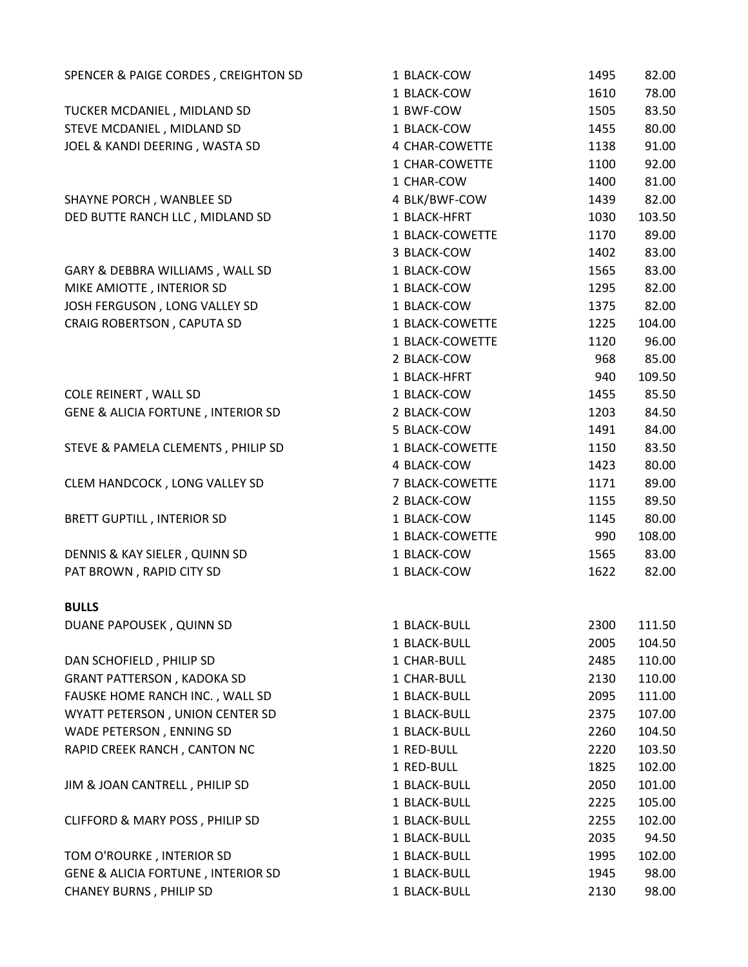| SPENCER & PAIGE CORDES, CREIGHTON SD          | 1 BLACK-COW     | 1495 | 82.00  |
|-----------------------------------------------|-----------------|------|--------|
|                                               | 1 BLACK-COW     | 1610 | 78.00  |
| TUCKER MCDANIEL, MIDLAND SD                   | 1 BWF-COW       | 1505 | 83.50  |
| STEVE MCDANIEL, MIDLAND SD                    | 1 BLACK-COW     | 1455 | 80.00  |
| JOEL & KANDI DEERING, WASTA SD                | 4 CHAR-COWETTE  | 1138 | 91.00  |
|                                               | 1 CHAR-COWETTE  | 1100 | 92.00  |
|                                               | 1 CHAR-COW      | 1400 | 81.00  |
| SHAYNE PORCH, WANBLEE SD                      | 4 BLK/BWF-COW   | 1439 | 82.00  |
| DED BUTTE RANCH LLC, MIDLAND SD               | 1 BLACK-HFRT    | 1030 | 103.50 |
|                                               | 1 BLACK-COWETTE | 1170 | 89.00  |
|                                               | 3 BLACK-COW     | 1402 | 83.00  |
| GARY & DEBBRA WILLIAMS, WALL SD               | 1 BLACK-COW     | 1565 | 83.00  |
| MIKE AMIOTTE, INTERIOR SD                     | 1 BLACK-COW     | 1295 | 82.00  |
| JOSH FERGUSON, LONG VALLEY SD                 | 1 BLACK-COW     | 1375 | 82.00  |
| CRAIG ROBERTSON, CAPUTA SD                    | 1 BLACK-COWETTE | 1225 | 104.00 |
|                                               | 1 BLACK-COWETTE | 1120 | 96.00  |
|                                               | 2 BLACK-COW     | 968  | 85.00  |
|                                               | 1 BLACK-HFRT    | 940  | 109.50 |
| COLE REINERT, WALL SD                         | 1 BLACK-COW     | 1455 | 85.50  |
| <b>GENE &amp; ALICIA FORTUNE, INTERIOR SD</b> | 2 BLACK-COW     | 1203 | 84.50  |
|                                               | 5 BLACK-COW     | 1491 | 84.00  |
| STEVE & PAMELA CLEMENTS, PHILIP SD            | 1 BLACK-COWETTE | 1150 | 83.50  |
|                                               | 4 BLACK-COW     | 1423 | 80.00  |
| CLEM HANDCOCK, LONG VALLEY SD                 | 7 BLACK-COWETTE | 1171 | 89.00  |
|                                               | 2 BLACK-COW     | 1155 | 89.50  |
| <b>BRETT GUPTILL, INTERIOR SD</b>             | 1 BLACK-COW     | 1145 | 80.00  |
|                                               | 1 BLACK-COWETTE | 990  | 108.00 |
| DENNIS & KAY SIELER, QUINN SD                 | 1 BLACK-COW     | 1565 | 83.00  |
| PAT BROWN, RAPID CITY SD                      | 1 BLACK-COW     | 1622 | 82.00  |
| <b>BULLS</b>                                  |                 |      |        |
| DUANE PAPOUSEK, QUINN SD                      | 1 BLACK-BULL    | 2300 | 111.50 |
|                                               | 1 BLACK-BULL    | 2005 | 104.50 |
| DAN SCHOFIELD, PHILIP SD                      | 1 CHAR-BULL     | 2485 | 110.00 |
| <b>GRANT PATTERSON, KADOKA SD</b>             | 1 CHAR-BULL     | 2130 | 110.00 |
| FAUSKE HOME RANCH INC., WALL SD               | 1 BLACK-BULL    | 2095 | 111.00 |
| WYATT PETERSON, UNION CENTER SD               | 1 BLACK-BULL    | 2375 | 107.00 |
| WADE PETERSON, ENNING SD                      | 1 BLACK-BULL    | 2260 | 104.50 |
| RAPID CREEK RANCH, CANTON NC                  | 1 RED-BULL      | 2220 | 103.50 |
|                                               | 1 RED-BULL      | 1825 | 102.00 |
| JIM & JOAN CANTRELL, PHILIP SD                | 1 BLACK-BULL    | 2050 | 101.00 |
|                                               | 1 BLACK-BULL    | 2225 | 105.00 |
| CLIFFORD & MARY POSS, PHILIP SD               | 1 BLACK-BULL    | 2255 | 102.00 |
|                                               | 1 BLACK-BULL    | 2035 | 94.50  |
| TOM O'ROURKE, INTERIOR SD                     | 1 BLACK-BULL    | 1995 | 102.00 |
| <b>GENE &amp; ALICIA FORTUNE, INTERIOR SD</b> | 1 BLACK-BULL    | 1945 | 98.00  |
| <b>CHANEY BURNS, PHILIP SD</b>                | 1 BLACK-BULL    | 2130 | 98.00  |